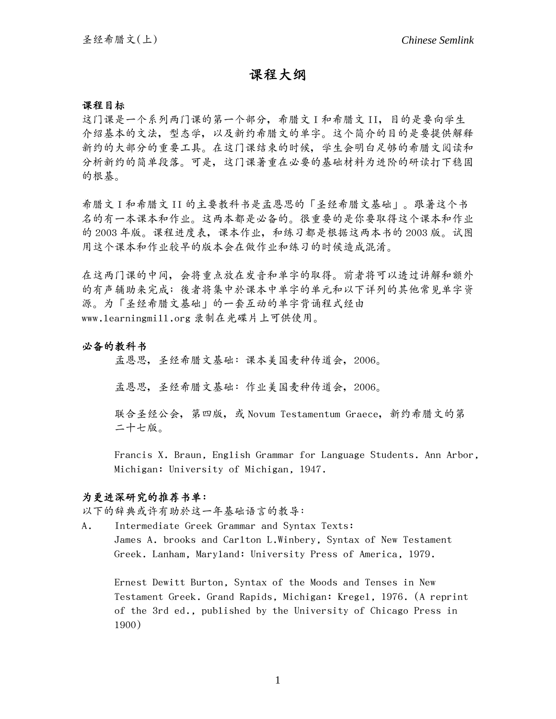# 課程大綱

#### 課程目標

这门课是一个系列两门课的第一个部分,希腊文 I 和希腊文 II,目的是要向学生 介绍基本的文法,型态学,以及新约希腊文的单字。这个简介的目的是要提供解释 新約的大部分的重要工具。在這門課結束的時候,學生會明白足夠的希臘文閱讀和 分析新约的简单段落。可是,这门课著重在必要的基础材料为进阶的研读打下稳固 的根基。

希腊文 I 和希腊文 II 的主要教科书是孟恩思的「圣经希腊文基础」。跟著这个书 名的有一本课本和作业。这两本都是必备的。很重要的是你要取得这个课本和作业 的 2003 年版。课程进度表, 课本作业, 和练习都是根据这两本书的 2003 版。试图 用这个课本和作业较早的版本会在做作业和练习的时候造成混淆。

在这两门课的中间,会将重点放在发音和单字的取得。前者将可以透过讲解和额外 的有聲輔助來完成;後者將集中於課本中單字的單元和以下詳列的其他常見單字資 源。为「圣经希腊文基础」的一套互动的单字背诵程式经由 www.learningmill.org 錄製在光碟片上可供使用。

## 必备的教科书

孟恩思,圣经希腊文基础:课本美国麦种传道会,2006。

孟恩思,圣经希腊文基础:作业美国麦种传道会,2006。

聯合聖經公會,第四版,或 Novum Testamentum Graece,新約希臘文的第 二十七版。

Francis X. Braun, English Grammar for Language Students. Ann Arbor, Michigan: University of Michigan, 1947.

#### 为更进深研究的推荐书单:

以下的辭典或許有助於這一年基礎語言的教導:

A. Intermediate Greek Grammar and Syntax Texts: James A. brooks and Carlton L.Winbery, Syntax of New Testament Greek. Lanham, Maryland: University Press of America, 1979.

 Ernest Dewitt Burton, Syntax of the Moods and Tenses in New Testament Greek. Grand Rapids, Michigan: Kregel, 1976. (A reprint of the 3rd ed., published by the University of Chicago Press in 1900)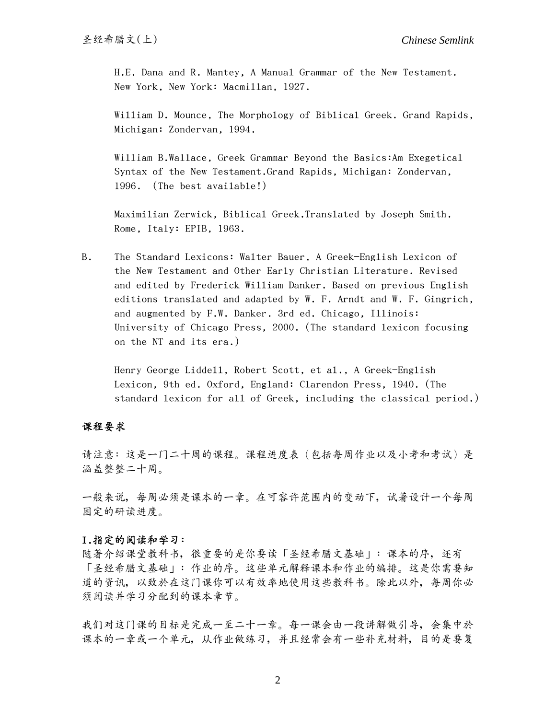H.E. Dana and R. Mantey, A Manual Grammar of the New Testament. New York, New York: Macmillan, 1927.

 William D. Mounce, The Morphology of Biblical Greek. Grand Rapids, Michigan: Zondervan, 1994.

 William B.Wallace, Greek Grammar Beyond the Basics:Am Exegetical Syntax of the New Testament.Grand Rapids, Michigan: Zondervan, 1996. (The best available!)

 Maximilian Zerwick, Biblical Greek.Translated by Joseph Smith. Rome, Italy: EPIB, 1963.

B. The Standard Lexicons: Walter Bauer, A Greek-English Lexicon of the New Testament and Other Early Christian Literature. Revised and edited by Frederick William Danker. Based on previous English editions translated and adapted by W. F. Arndt and W. F. Gingrich, and augmented by F.W. Danker. 3rd ed. Chicago, Illinois: University of Chicago Press, 2000. (The standard lexicon focusing on the NT and its era.)

Henry George Liddell, Robert Scott, et al., A Greek-English Lexicon, 9th ed. Oxford, England: Clarendon Press, 1940. (The standard lexicon for all of Greek, including the classical period.)

#### 課程要求

请注意:这是一门二十周的课程。课程进度表(包括每周作业以及小考和考试)是 涵蓋整整二十週。

一般來說,每週必須是課本的一章。在可容許範圍內的變動下,試著設計一個每週 固定的研讀進度。

## I.指定的閱讀和學習:

随著介绍课堂教科书,很重要的是你要读「圣经希腊文基础」:课本的序,还有 「圣经希腊文基础」:作业的序。这些单元解释课本和作业的编排。这是你需要知 道的资讯,以致於在这门课你可以有效率地使用这些教科书。除此以外,每周你必 须阅读并学习分配到的课本章节。

我们对这门课的目标是完成一至二十一章。每一课会由一段讲解做引导,会集中於 课本的一章或一个单元,从作业做练习,并且经常会有一些补充材料,目的是要复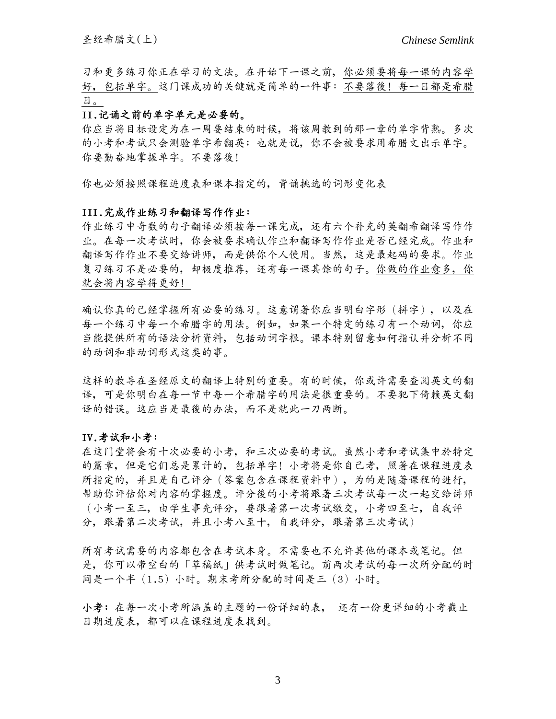習和更多練習你正在學習的文法。在開始下一課之前,你必須要將每一課的內容學 好,包括单字。这门课成功的关键就是简单的一件事:不要落後!每一日都是希腊 日。

## II.記誦之前的單字單元是必要的。

你應當將目標設定為在一週要結束的時候,將該週教到的那一章的單字背熟。多次 的小考和考試只會測驗單字希翻英;也就是說,你不會被要求用希臘文出示單字。 你要勤奮地掌握單字。不要落後!

你也必須按照課程進度表和課本指定的,背誦挑選的詞形變化表

#### III. 完成作业练习和翻译写作作业:

作业练习中奇数的句子翻译必须按每一课完成,还有六个补充的英翻希翻译写作作 业。在每一次考试时,你会被要求确认作业和翻译写作作业是否已经完成。作业和 翻译写作作业不要交给讲师,而是供你个人使用。当然,这是最起码的要求。作业 复习练习不是必要的,却极度推荐,还有每一课其馀的句子。你做的作业愈多,你 就會將內容學得更好!

确认你真的已经掌握所有必要的练习。这意谓著你应当明白字形(拼字),以及在 每一个练习中每一个希腊字的用法。例如,如果一个特定的练习有一个动词,你应 当能提供所有的语法分析资料,包括动词字根。课本特别留意如何指认并分析不同 的动词和非动词形式这类的事。

这样的教导在圣经原文的翻译上特别的重要。有的时候,你或许需要查阅英文的翻 译,可是你明白在每一节中每一个希腊字的用法是很重要的。不要犯下倚赖英文翻 译的错误。这应当是最後的办法,而不是就此一刀两断。

## IV.考試和小考:

在这门堂将会有十次必要的小考,和三次必要的考试。虽然小考和考试集中於特定 的篇章,但是它们总是累计的,包括单字!小考将是你自己考,照著在课程进度表 所指定的,并且是自己评分(答案包含在课程资料中),为的是随著课程的进行, 幫助你評估你對內容的掌握度。評分後的小考將跟著三次考試每一次一起交給講師 (小考一至三,由學生事先評分,要跟著第一次考試繳交,小考四至七,自我評 分, 跟著第二次考试, 并且小考八至十, 自我评分, 跟著第三次考试)

所有考試需要的內容都包含在考試本身。不需要也不允許其他的課本或筆記。但 是,你可以帶空白的「草稿紙」供考試時做筆記。前兩次考試的每一次所分配的時 間是一個半(1.5)小時。期末考所分配的時間是三(3)小時。

小考:在每一次小考所涵盖的主题的一份详细的表, 还有一份更详细的小考截止 日期進度表,都可以在課程進度表找到。

3